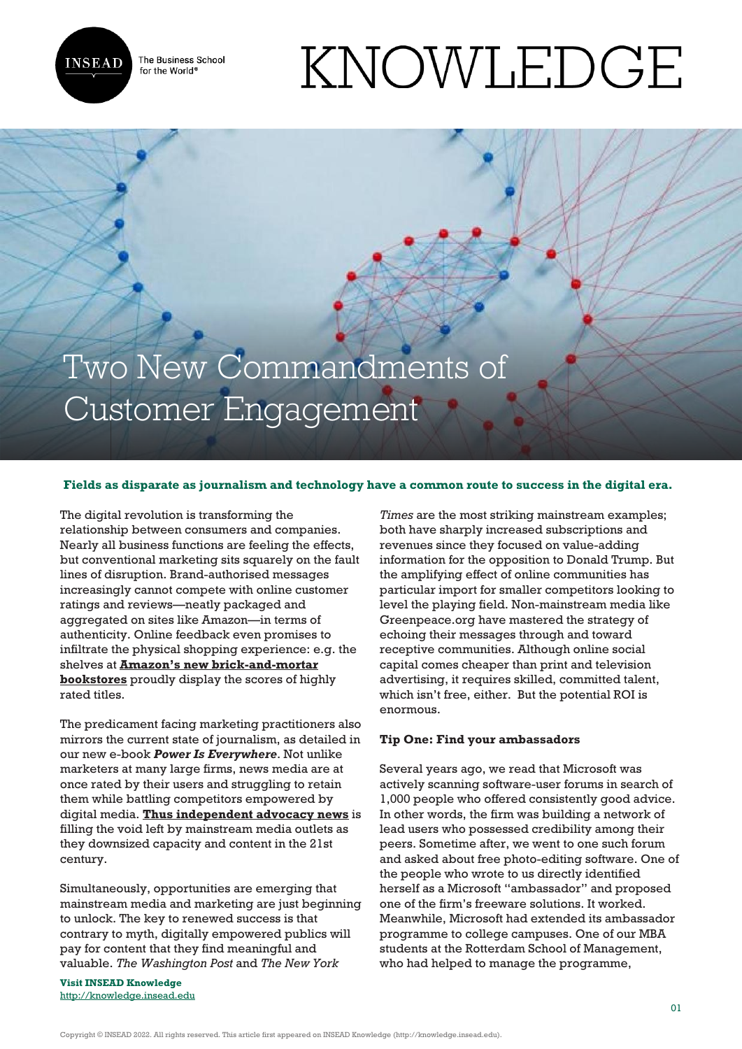

The Business School for the World<sup>®</sup>

# KNOWLEDGE

Two New Commandments of Customer Engagement

# **Fields as disparate as journalism and technology have a common route to success in the digital era.**

The digital revolution is transforming the relationship between consumers and companies. Nearly all business functions are feeling the effects, but conventional marketing sits squarely on the fault lines of disruption. Brand-authorised messages increasingly cannot compete with online customer ratings and reviews—neatly packaged and aggregated on sites like Amazon—in terms of authenticity. Online feedback even promises to infiltrate the physical shopping experience: e.g. the shelves at **[Amazon's new brick-and-mortar](http://www.northjersey.com/story/money/shopping/2017/04/11/inside-new-amazon-books-stores/100132538/) [bookstores](http://www.northjersey.com/story/money/shopping/2017/04/11/inside-new-amazon-books-stores/100132538/)** proudly display the scores of highly rated titles.

The predicament facing marketing practitioners also mirrors the current state of journalism, as detailed in our new e-book *Power Is Everywhere*. Not unlike marketers at many large firms, news media are at once rated by their users and struggling to retain them while battling competitors empowered by digital media. **[Thus independent advocacy news](http://knowledge.insead.edu/entrepreneurship/a-future-for-the-news-industry-5711)** is filling the void left by mainstream media outlets as they downsized capacity and content in the 21st century.

Simultaneously, opportunities are emerging that mainstream media and marketing are just beginning to unlock. The key to renewed success is that contrary to myth, digitally empowered publics will pay for content that they find meaningful and valuable. *The Washington Post* and *The New York*

**Visit INSEAD Knowledge** <http://knowledge.insead.edu>

*Times* are the most striking mainstream examples; both have sharply increased subscriptions and revenues since they focused on value-adding information for the opposition to Donald Trump. But the amplifying effect of online communities has particular import for smaller competitors looking to level the playing field. Non-mainstream media like Greenpeace.org have mastered the strategy of echoing their messages through and toward receptive communities. Although online social capital comes cheaper than print and television advertising, it requires skilled, committed talent, which isn't free, either. But the potential ROI is enormous.

## **Tip One: Find your ambassadors**

Several years ago, we read that Microsoft was actively scanning software-user forums in search of 1,000 people who offered consistently good advice. In other words, the firm was building a network of lead users who possessed credibility among their peers. Sometime after, we went to one such forum and asked about free photo-editing software. One of the people who wrote to us directly identified herself as a Microsoft "ambassador" and proposed one of the firm's freeware solutions. It worked. Meanwhile, Microsoft had extended its ambassador programme to college campuses. One of our MBA students at the Rotterdam School of Management, who had helped to manage the programme,

Copyright © INSEAD 2022. All rights reserved. This article first appeared on INSEAD Knowledge (http://knowledge.insead.edu).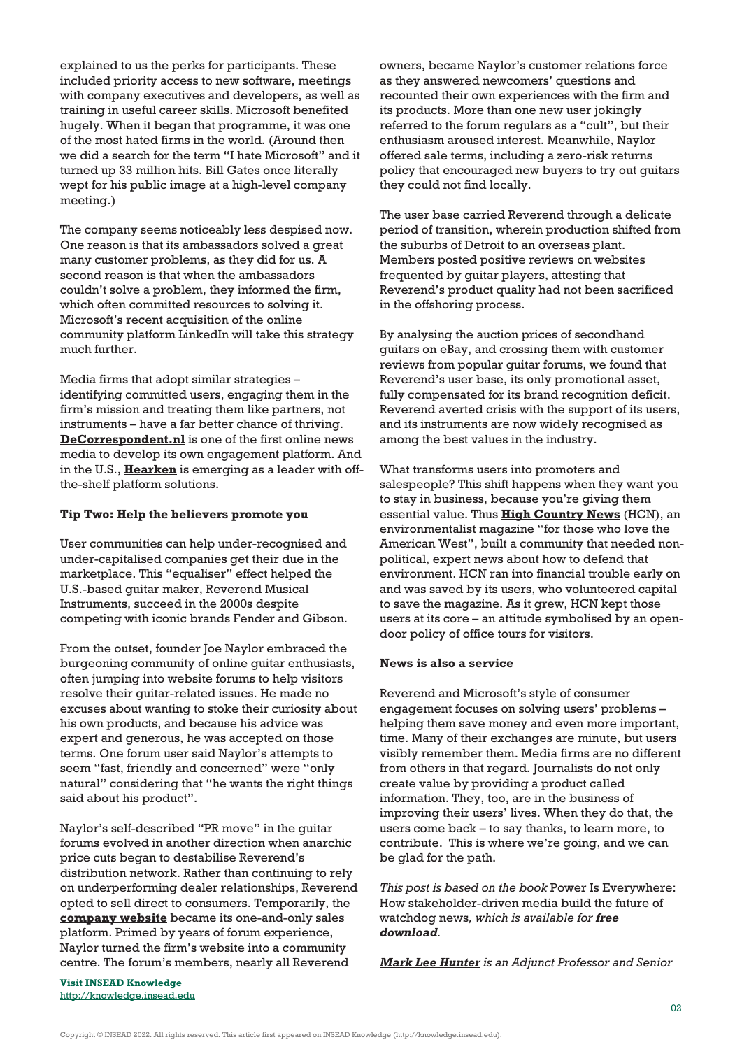explained to us the perks for participants. These included priority access to new software, meetings with company executives and developers, as well as training in useful career skills. Microsoft benefited hugely. When it began that programme, it was one of the most hated firms in the world. (Around then we did a search for the term "I hate Microsoft" and it turned up 33 million hits. Bill Gates once literally wept for his public image at a high-level company meeting.)

The company seems noticeably less despised now. One reason is that its ambassadors solved a great many customer problems, as they did for us. A second reason is that when the ambassadors couldn't solve a problem, they informed the firm, which often committed resources to solving it. Microsoft's recent acquisition of the online community platform LinkedIn will take this strategy much further.

Media firms that adopt similar strategies – identifying committed users, engaging them in the firm's mission and treating them like partners, not instruments – have a far better chance of thriving. **[DeCorrespondent.nl](https://decorrespondent.nl/home)** is one of the first online news media to develop its own engagement platform. And in the U.S., **[Hearken](https://www.wearehearken.com/)** is emerging as a leader with offthe-shelf platform solutions.

## **Tip Two: Help the believers promote you**

User communities can help under-recognised and under-capitalised companies get their due in the marketplace. This "equaliser" effect helped the U.S.-based guitar maker, Reverend Musical Instruments, succeed in the 2000s despite competing with iconic brands Fender and Gibson.

From the outset, founder Joe Naylor embraced the burgeoning community of online guitar enthusiasts, often jumping into website forums to help visitors resolve their guitar-related issues. He made no excuses about wanting to stoke their curiosity about his own products, and because his advice was expert and generous, he was accepted on those terms. One forum user said Naylor's attempts to seem "fast, friendly and concerned" were "only natural" considering that "he wants the right things said about his product".

Naylor's self-described "PR move" in the guitar forums evolved in another direction when anarchic price cuts began to destabilise Reverend's distribution network. Rather than continuing to rely on underperforming dealer relationships, Reverend opted to sell direct to consumers. Temporarily, the **[company website](http://reverendguitars.com/)** became its one-and-only sales platform. Primed by years of forum experience, Naylor turned the firm's website into a community centre. The forum's members, nearly all Reverend

owners, became Naylor's customer relations force as they answered newcomers' questions and recounted their own experiences with the firm and its products. More than one new user jokingly referred to the forum regulars as a "cult", but their enthusiasm aroused interest. Meanwhile, Naylor offered sale terms, including a zero-risk returns policy that encouraged new buyers to try out guitars they could not find locally.

The user base carried Reverend through a delicate period of transition, wherein production shifted from the suburbs of Detroit to an overseas plant. Members posted positive reviews on websites frequented by guitar players, attesting that Reverend's product quality had not been sacrificed in the offshoring process.

By analysing the auction prices of secondhand guitars on eBay, and crossing them with customer reviews from popular guitar forums, we found that Reverend's user base, its only promotional asset, fully compensated for its brand recognition deficit. Reverend averted crisis with the support of its users, and its instruments are now widely recognised as among the best values in the industry.

What transforms users into promoters and salespeople? This shift happens when they want you to stay in business, because you're giving them essential value. Thus **[High Country News](https://www.hcn.org/)** (HCN), an environmentalist magazine "for those who love the American West", built a community that needed nonpolitical, expert news about how to defend that environment. HCN ran into financial trouble early on and was saved by its users, who volunteered capital to save the magazine. As it grew, HCN kept those users at its core – an attitude symbolised by an opendoor policy of office tours for visitors.

### **News is also a service**

Reverend and Microsoft's style of consumer engagement focuses on solving users' problems – helping them save money and even more important, time. Many of their exchanges are minute, but users visibly remember them. Media firms are no different from others in that regard. Journalists do not only create value by providing a product called information. They, too, are in the business of improving their users' lives. When they do that, the users come back – to say thanks, to learn more, to contribute. This is where we're going, and we can be glad for the path.

*This post is based on the book* Power Is Everywhere: How stakeholder-driven media build the future of watchdog news*, which is available for free download.*

*[Mark Lee Hunter](http://knowledge.insead.edu/users/markhunter) is an Adjunct Professor and Senior*

**Visit INSEAD Knowledge** <http://knowledge.insead.edu>

Copyright © INSEAD 2022. All rights reserved. This article first appeared on INSEAD Knowledge (http://knowledge.insead.edu).